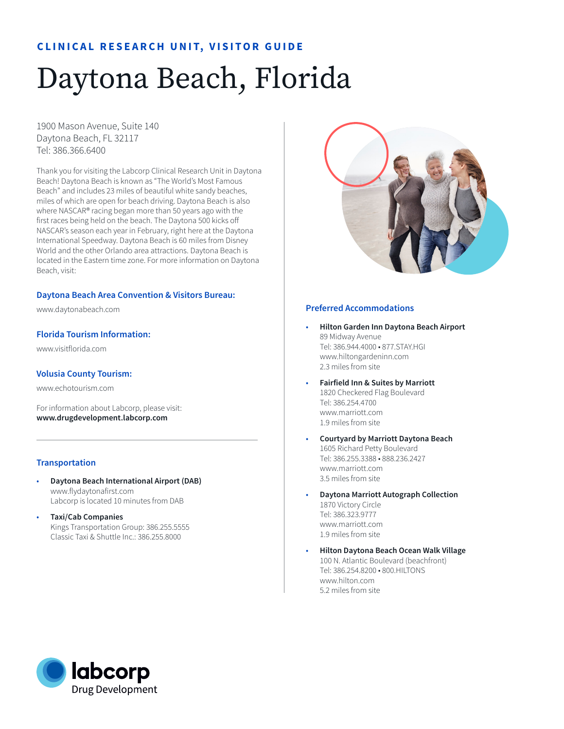# **CLINICAL RESEARCH UNIT, VISITOR GUIDE**

# Daytona Beach, Florida

1900 Mason Avenue, Suite 140 Daytona Beach, FL 32117 Tel: 386.366.6400

Thank you for visiting the Labcorp Clinical Research Unit in Daytona Beach! Daytona Beach is known as "The World's Most Famous Beach" and includes 23 miles of beautiful white sandy beaches, miles of which are open for beach driving. Daytona Beach is also where NASCAR® racing began more than 50 years ago with the first races being held on the beach. The Daytona 500 kicks off NASCAR's season each year in February, right here at the Daytona International Speedway. Daytona Beach is 60 miles from Disney World and the other Orlando area attractions. Daytona Beach is located in the Eastern time zone. For more information on Daytona Beach, visit:

# **Daytona Beach Area Convention & Visitors Bureau:**

www.daytonabeach.com

# **Florida Tourism Information:**

www.visitflorida.com

#### **Volusia County Tourism:**

www.echotourism.com

For information about Labcorp, please visit: **www.drugdevelopment.labcorp.com** 

#### **Transportation**

- **Daytona Beach International Airport (DAB)** www.flydaytonafirst.com Labcorp is located 10 minutes from DAB
- **Taxi/Cab Companies**  Kings Transportation Group: 386.255.5555 Classic Taxi & Shuttle Inc.: 386.255.8000



#### **Preferred Accommodations**

- **Hilton Garden Inn Daytona Beach Airport** 89 Midway Avenue Tel: 386.944.4000 • 877.STAY.HGI www.hiltongardeninn.com 2.3 miles from site
- **Fairfield Inn & Suites by Marriott**  1820 Checkered Flag Boulevard Tel: 386.254.4700 www.marriott.com 1.9 miles from site
- **Courtyard by Marriott Daytona Beach** 1605 Richard Petty Boulevard Tel: 386.255.3388 • 888.236.2427 www.marriott.com 3.5 miles from site
- **Daytona Marriott Autograph Collection** 1870 Victory Circle Tel: 386.323.9777 www.marriott.com 1.9 miles from site
- **Hilton Daytona Beach Ocean Walk Village** 100 N. Atlantic Boulevard (beachfront) Tel: 386.254.8200 • 800.HILTONS www.hilton.com 5.2 miles from site